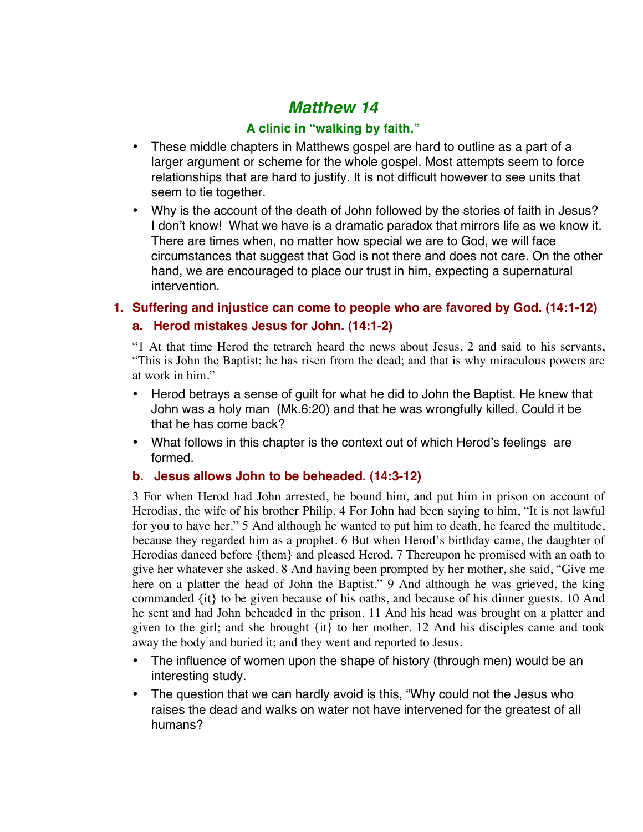# *Matthew 14*

# **A clinic in "walking by faith."**

- These middle chapters in Matthews gospel are hard to outline as a part of a larger argument or scheme for the whole gospel. Most attempts seem to force relationships that are hard to justify. It is not difficult however to see units that seem to tie together.
- Why is the account of the death of John followed by the stories of faith in Jesus? I don't know! What we have is a dramatic paradox that mirrors life as we know it. There are times when, no matter how special we are to God, we will face circumstances that suggest that God is not there and does not care. On the other hand, we are encouraged to place our trust in him, expecting a supernatural intervention.

# **1. Suffering and injustice can come to people who are favored by God. (14:1-12) a. Herod mistakes Jesus for John. (14:1-2)**

"1 At that time Herod the tetrarch heard the news about Jesus, 2 and said to his servants, "This is John the Baptist; he has risen from the dead; and that is why miraculous powers are at work in him."

- Herod betrays a sense of guilt for what he did to John the Baptist. He knew that John was a holy man (Mk.6:20) and that he was wrongfully killed. Could it be that he has come back?
- What follows in this chapter is the context out of which Herod's feelings are formed.

### **b. Jesus allows John to be beheaded. (14:3-12)**

3 For when Herod had John arrested, he bound him, and put him in prison on account of Herodias, the wife of his brother Philip. 4 For John had been saying to him, "It is not lawful for you to have her." 5 And although he wanted to put him to death, he feared the multitude, because they regarded him as a prophet. 6 But when Herod's birthday came, the daughter of Herodias danced before {them} and pleased Herod. 7 Thereupon he promised with an oath to give her whatever she asked. 8 And having been prompted by her mother, she said, "Give me here on a platter the head of John the Baptist." 9 And although he was grieved, the king commanded {it} to be given because of his oaths, and because of his dinner guests. 10 And he sent and had John beheaded in the prison. 11 And his head was brought on a platter and given to the girl; and she brought {it} to her mother. 12 And his disciples came and took away the body and buried it; and they went and reported to Jesus.

- The influence of women upon the shape of history (through men) would be an interesting study.
- The question that we can hardly avoid is this, "Why could not the Jesus who raises the dead and walks on water not have intervened for the greatest of all humans?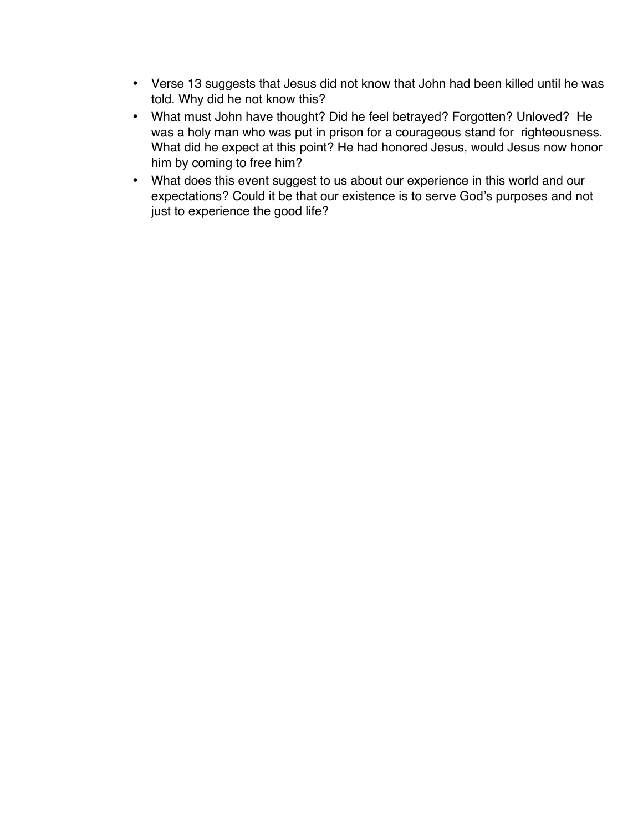- Verse 13 suggests that Jesus did not know that John had been killed until he was told. Why did he not know this?
- What must John have thought? Did he feel betrayed? Forgotten? Unloved? He was a holy man who was put in prison for a courageous stand for righteousness. What did he expect at this point? He had honored Jesus, would Jesus now honor him by coming to free him?
- What does this event suggest to us about our experience in this world and our expectations? Could it be that our existence is to serve God's purposes and not just to experience the good life?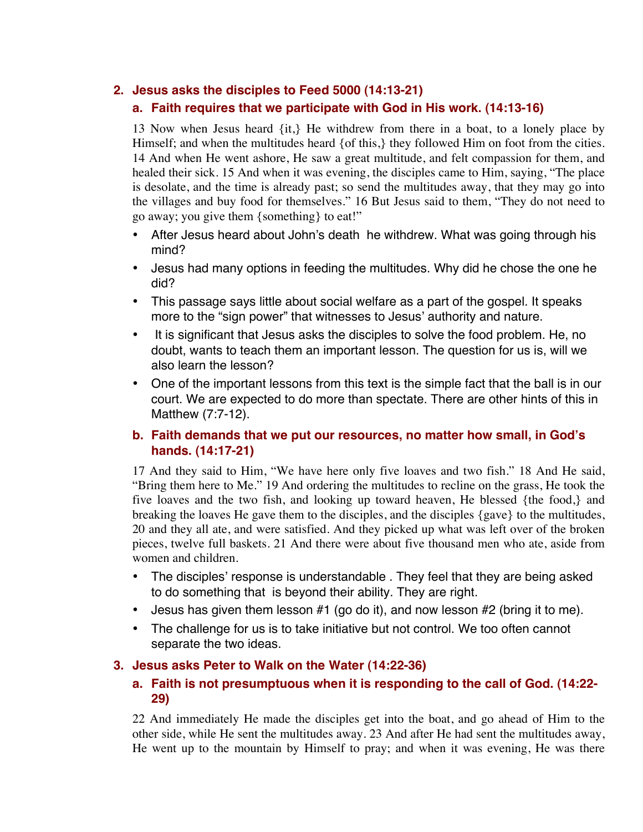#### **2. Jesus asks the disciples to Feed 5000 (14:13-21)**

## **a. Faith requires that we participate with God in His work. (14:13-16)**

13 Now when Jesus heard {it,} He withdrew from there in a boat, to a lonely place by Himself; and when the multitudes heard {of this,} they followed Him on foot from the cities. 14 And when He went ashore, He saw a great multitude, and felt compassion for them, and healed their sick. 15 And when it was evening, the disciples came to Him, saying, "The place is desolate, and the time is already past; so send the multitudes away, that they may go into the villages and buy food for themselves." 16 But Jesus said to them, "They do not need to go away; you give them {something} to eat!"

- After Jesus heard about John's death he withdrew. What was going through his mind?
- Jesus had many options in feeding the multitudes. Why did he chose the one he did?
- This passage says little about social welfare as a part of the gospel. It speaks more to the "sign power" that witnesses to Jesus' authority and nature.
- It is significant that Jesus asks the disciples to solve the food problem. He, no doubt, wants to teach them an important lesson. The question for us is, will we also learn the lesson?
- One of the important lessons from this text is the simple fact that the ball is in our court. We are expected to do more than spectate. There are other hints of this in Matthew (7:7-12).

#### **b. Faith demands that we put our resources, no matter how small, in God's hands. (14:17-21)**

17 And they said to Him, "We have here only five loaves and two fish." 18 And He said, "Bring them here to Me." 19 And ordering the multitudes to recline on the grass, He took the five loaves and the two fish, and looking up toward heaven, He blessed {the food,} and breaking the loaves He gave them to the disciples, and the disciples {gave} to the multitudes, 20 and they all ate, and were satisfied. And they picked up what was left over of the broken pieces, twelve full baskets. 21 And there were about five thousand men who ate, aside from women and children.

- The disciples' response is understandable . They feel that they are being asked to do something that is beyond their ability. They are right.
- Jesus has given them lesson #1 (go do it), and now lesson #2 (bring it to me).
- The challenge for us is to take initiative but not control. We too often cannot separate the two ideas.

### **3. Jesus asks Peter to Walk on the Water (14:22-36)**

#### **a. Faith is not presumptuous when it is responding to the call of God. (14:22- 29)**

22 And immediately He made the disciples get into the boat, and go ahead of Him to the other side, while He sent the multitudes away. 23 And after He had sent the multitudes away, He went up to the mountain by Himself to pray; and when it was evening, He was there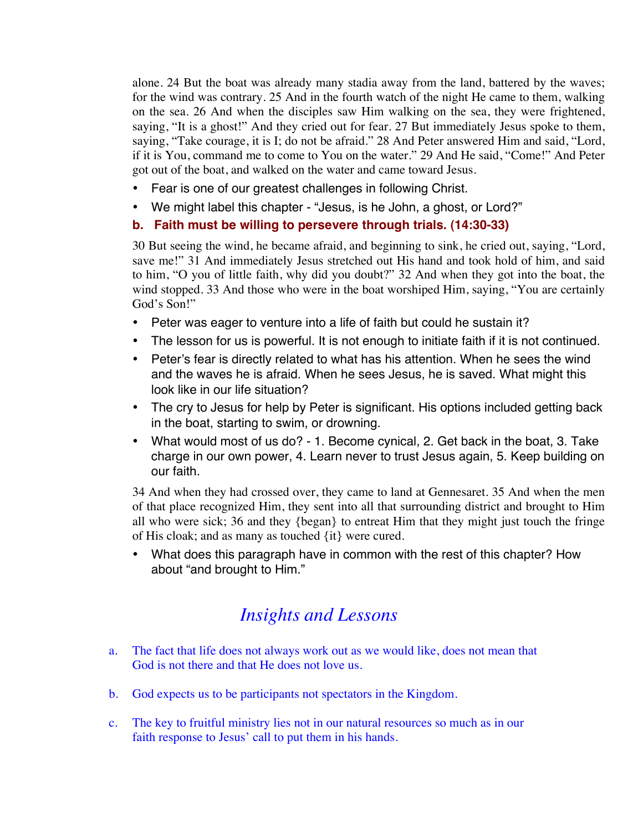alone. 24 But the boat was already many stadia away from the land, battered by the waves; for the wind was contrary. 25 And in the fourth watch of the night He came to them, walking on the sea. 26 And when the disciples saw Him walking on the sea, they were frightened, saying, "It is a ghost!" And they cried out for fear. 27 But immediately Jesus spoke to them, saying, "Take courage, it is I; do not be afraid." 28 And Peter answered Him and said, "Lord, if it is You, command me to come to You on the water." 29 And He said, "Come!" And Peter got out of the boat, and walked on the water and came toward Jesus.

- Fear is one of our greatest challenges in following Christ.
- We might label this chapter "Jesus, is he John, a ghost, or Lord?"

#### **b. Faith must be willing to persevere through trials. (14:30-33)**

30 But seeing the wind, he became afraid, and beginning to sink, he cried out, saying, "Lord, save me!" 31 And immediately Jesus stretched out His hand and took hold of him, and said to him, "O you of little faith, why did you doubt?" 32 And when they got into the boat, the wind stopped. 33 And those who were in the boat worshiped Him, saying, "You are certainly God's Son!"

- Peter was eager to venture into a life of faith but could he sustain it?
- The lesson for us is powerful. It is not enough to initiate faith if it is not continued.
- Peter's fear is directly related to what has his attention. When he sees the wind and the waves he is afraid. When he sees Jesus, he is saved. What might this look like in our life situation?
- The cry to Jesus for help by Peter is significant. His options included getting back in the boat, starting to swim, or drowning.
- What would most of us do? 1. Become cynical, 2. Get back in the boat, 3. Take charge in our own power, 4. Learn never to trust Jesus again, 5. Keep building on our faith.

34 And when they had crossed over, they came to land at Gennesaret. 35 And when the men of that place recognized Him, they sent into all that surrounding district and brought to Him all who were sick; 36 and they {began} to entreat Him that they might just touch the fringe of His cloak; and as many as touched {it} were cured.

• What does this paragraph have in common with the rest of this chapter? How about "and brought to Him."

# *Insights and Lessons*

- a. The fact that life does not always work out as we would like, does not mean that God is not there and that He does not love us.
- b. God expects us to be participants not spectators in the Kingdom.
- c. The key to fruitful ministry lies not in our natural resources so much as in our faith response to Jesus' call to put them in his hands.